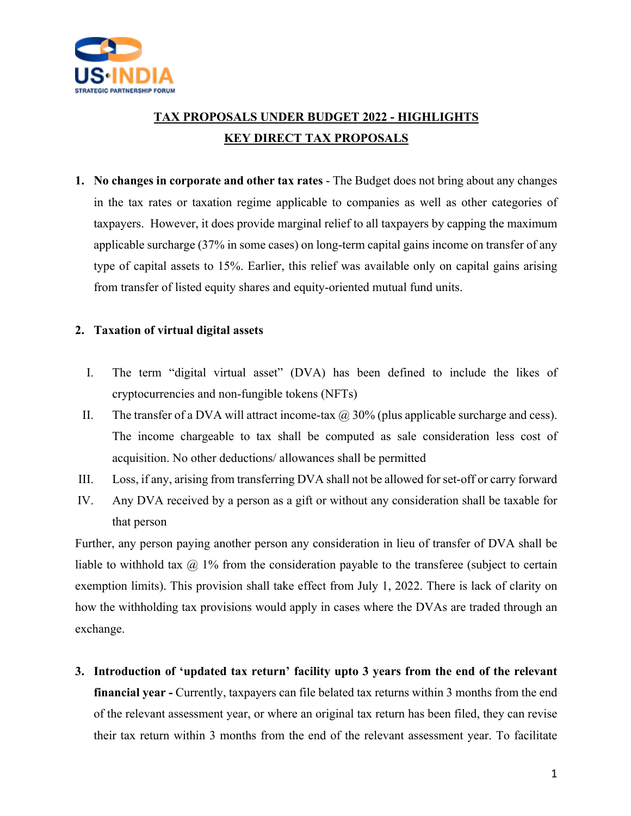

# **TAX PROPOSALS UNDER BUDGET 2022 - HIGHLIGHTS KEY DIRECT TAX PROPOSALS**

**1. No changes in corporate and other tax rates** - The Budget does not bring about any changes in the tax rates or taxation regime applicable to companies as well as other categories of taxpayers. However, it does provide marginal relief to all taxpayers by capping the maximum applicable surcharge (37% in some cases) on long-term capital gains income on transfer of any type of capital assets to 15%. Earlier, this relief was available only on capital gains arising from transfer of listed equity shares and equity-oriented mutual fund units.

#### **2. Taxation of virtual digital assets**

- I. The term "digital virtual asset" (DVA) has been defined to include the likes of cryptocurrencies and non-fungible tokens (NFTs)
- II. The transfer of a DVA will attract income-tax  $\omega$  30% (plus applicable surcharge and cess). The income chargeable to tax shall be computed as sale consideration less cost of acquisition. No other deductions/ allowances shall be permitted
- III. Loss, if any, arising from transferring DVA shall not be allowed for set-off or carry forward
- IV. Any DVA received by a person as a gift or without any consideration shall be taxable for that person

Further, any person paying another person any consideration in lieu of transfer of DVA shall be liable to withhold tax  $\omega$  1% from the consideration payable to the transferee (subject to certain exemption limits). This provision shall take effect from July 1, 2022. There is lack of clarity on how the withholding tax provisions would apply in cases where the DVAs are traded through an exchange.

**3. Introduction of 'updated tax return' facility upto 3 years from the end of the relevant financial year -** Currently, taxpayers can file belated tax returns within 3 months from the end of the relevant assessment year, or where an original tax return has been filed, they can revise their tax return within 3 months from the end of the relevant assessment year. To facilitate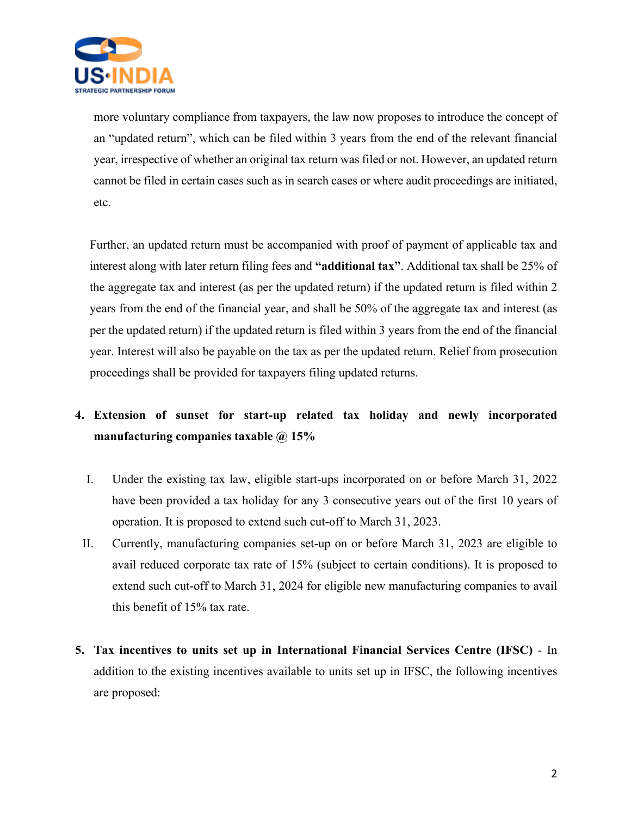

more voluntary compliance from taxpayers, the law now proposes to introduce the concept of an "updated return", which can be filed within 3 years from the end of the relevant financial year, irrespective of whether an original tax return was filed or not. However, an updated return cannot be filed in certain cases such as in search cases or where audit proceedings are initiated, etc.

Further, an updated return must be accompanied with proof of payment of applicable tax and interest along with later return filing fees and **"additional tax"**. Additional tax shall be 25% of the aggregate tax and interest (as per the updated return) if the updated return is filed within 2 years from the end of the financial year, and shall be 50% of the aggregate tax and interest (as per the updated return) if the updated return is filed within 3 years from the end of the financial year. Interest will also be payable on the tax as per the updated return. Relief from prosecution proceedings shall be provided for taxpayers filing updated returns.

# **4. Extension of sunset for start-up related tax holiday and newly incorporated manufacturing companies taxable @ 15%**

- I. Under the existing tax law, eligible start-ups incorporated on or before March 31, 2022 have been provided a tax holiday for any 3 consecutive years out of the first 10 years of operation. It is proposed to extend such cut-off to March 31, 2023.
- II. Currently, manufacturing companies set-up on or before March 31, 2023 are eligible to avail reduced corporate tax rate of 15% (subject to certain conditions). It is proposed to extend such cut-off to March 31, 2024 for eligible new manufacturing companies to avail this benefit of 15% tax rate.
- **5. Tax incentives to units set up in International Financial Services Centre (IFSC)** In addition to the existing incentives available to units set up in IFSC, the following incentives are proposed: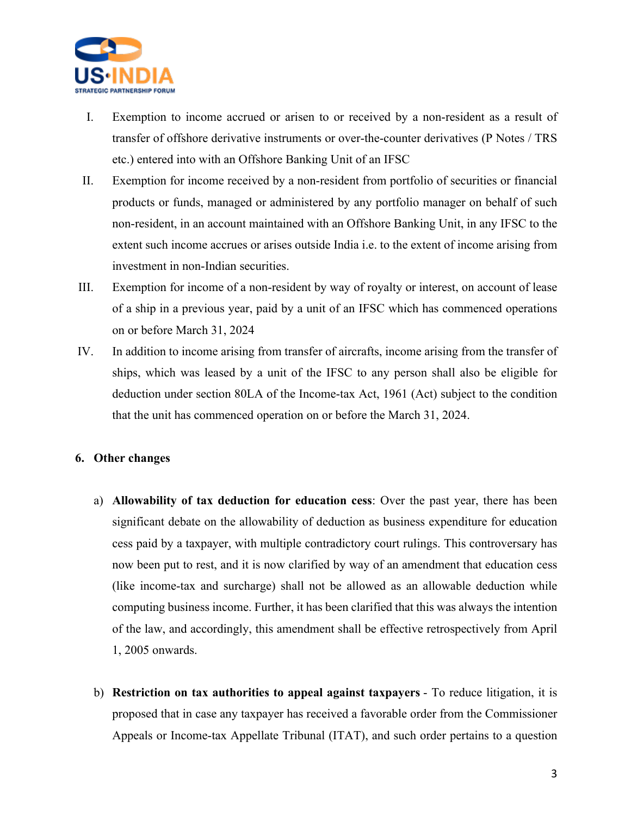

- I. Exemption to income accrued or arisen to or received by a non-resident as a result of transfer of offshore derivative instruments or over-the-counter derivatives (P Notes / TRS etc.) entered into with an Offshore Banking Unit of an IFSC
- II. Exemption for income received by a non-resident from portfolio of securities or financial products or funds, managed or administered by any portfolio manager on behalf of such non-resident, in an account maintained with an Offshore Banking Unit, in any IFSC to the extent such income accrues or arises outside India i.e. to the extent of income arising from investment in non-Indian securities.
- III. Exemption for income of a non-resident by way of royalty or interest, on account of lease of a ship in a previous year, paid by a unit of an IFSC which has commenced operations on or before March 31, 2024
- IV. In addition to income arising from transfer of aircrafts, income arising from the transfer of ships, which was leased by a unit of the IFSC to any person shall also be eligible for deduction under section 80LA of the Income-tax Act, 1961 (Act) subject to the condition that the unit has commenced operation on or before the March 31, 2024.

#### **6. Other changes**

- a) **Allowability of tax deduction for education cess**: Over the past year, there has been significant debate on the allowability of deduction as business expenditure for education cess paid by a taxpayer, with multiple contradictory court rulings. This controversary has now been put to rest, and it is now clarified by way of an amendment that education cess (like income-tax and surcharge) shall not be allowed as an allowable deduction while computing business income. Further, it has been clarified that this was always the intention of the law, and accordingly, this amendment shall be effective retrospectively from April 1, 2005 onwards.
- b) **Restriction on tax authorities to appeal against taxpayers** To reduce litigation, it is proposed that in case any taxpayer has received a favorable order from the Commissioner Appeals or Income-tax Appellate Tribunal (ITAT), and such order pertains to a question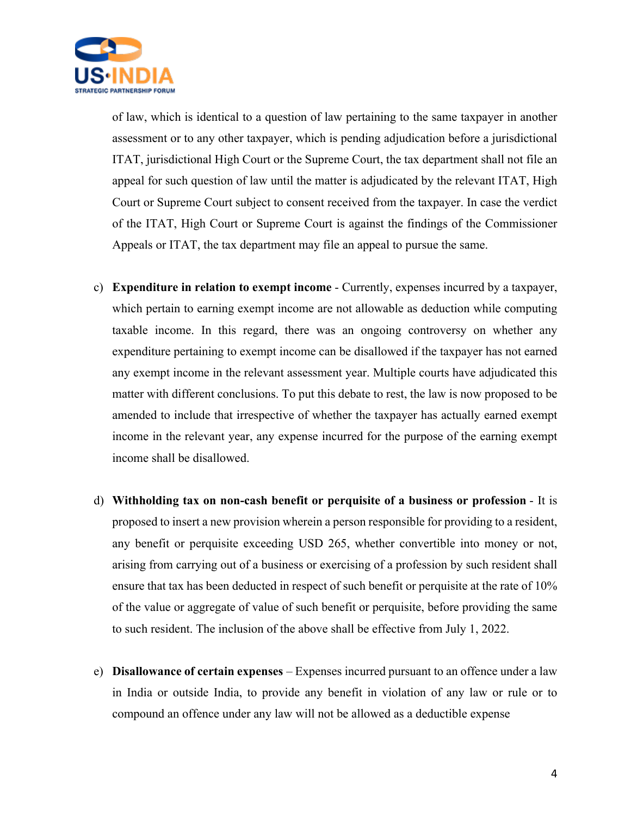

of law, which is identical to a question of law pertaining to the same taxpayer in another assessment or to any other taxpayer, which is pending adjudication before a jurisdictional ITAT, jurisdictional High Court or the Supreme Court, the tax department shall not file an appeal for such question of law until the matter is adjudicated by the relevant ITAT, High Court or Supreme Court subject to consent received from the taxpayer. In case the verdict of the ITAT, High Court or Supreme Court is against the findings of the Commissioner Appeals or ITAT, the tax department may file an appeal to pursue the same.

- c) **Expenditure in relation to exempt income** Currently, expenses incurred by a taxpayer, which pertain to earning exempt income are not allowable as deduction while computing taxable income. In this regard, there was an ongoing controversy on whether any expenditure pertaining to exempt income can be disallowed if the taxpayer has not earned any exempt income in the relevant assessment year. Multiple courts have adjudicated this matter with different conclusions. To put this debate to rest, the law is now proposed to be amended to include that irrespective of whether the taxpayer has actually earned exempt income in the relevant year, any expense incurred for the purpose of the earning exempt income shall be disallowed.
- d) **Withholding tax on non-cash benefit or perquisite of a business or profession** It is proposed to insert a new provision wherein a person responsible for providing to a resident, any benefit or perquisite exceeding USD 265, whether convertible into money or not, arising from carrying out of a business or exercising of a profession by such resident shall ensure that tax has been deducted in respect of such benefit or perquisite at the rate of 10% of the value or aggregate of value of such benefit or perquisite, before providing the same to such resident. The inclusion of the above shall be effective from July 1, 2022.
- e) **Disallowance of certain expenses** Expenses incurred pursuant to an offence under a law in India or outside India, to provide any benefit in violation of any law or rule or to compound an offence under any law will not be allowed as a deductible expense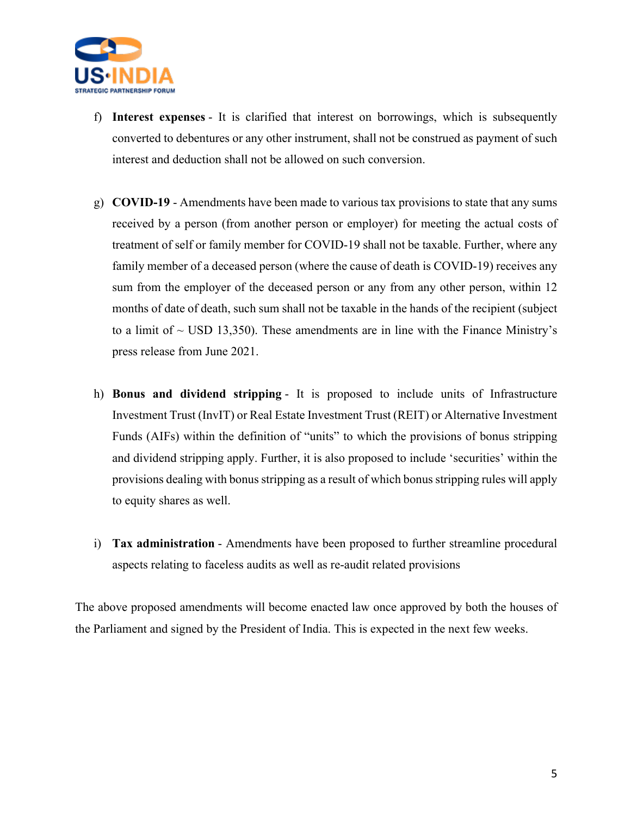

- f) **Interest expenses** It is clarified that interest on borrowings, which is subsequently converted to debentures or any other instrument, shall not be construed as payment of such interest and deduction shall not be allowed on such conversion.
- g) **COVID-19** Amendments have been made to various tax provisions to state that any sums received by a person (from another person or employer) for meeting the actual costs of treatment of self or family member for COVID-19 shall not be taxable. Further, where any family member of a deceased person (where the cause of death is COVID-19) receives any sum from the employer of the deceased person or any from any other person, within 12 months of date of death, such sum shall not be taxable in the hands of the recipient (subject to a limit of  $\sim$  USD 13,350). These amendments are in line with the Finance Ministry's press release from June 2021.
- h) **Bonus and dividend stripping** It is proposed to include units of Infrastructure Investment Trust (InvIT) or Real Estate Investment Trust (REIT) or Alternative Investment Funds (AIFs) within the definition of "units" to which the provisions of bonus stripping and dividend stripping apply. Further, it is also proposed to include 'securities' within the provisions dealing with bonus stripping as a result of which bonus stripping rules will apply to equity shares as well.
- i) **Tax administration** Amendments have been proposed to further streamline procedural aspects relating to faceless audits as well as re-audit related provisions

The above proposed amendments will become enacted law once approved by both the houses of the Parliament and signed by the President of India. This is expected in the next few weeks.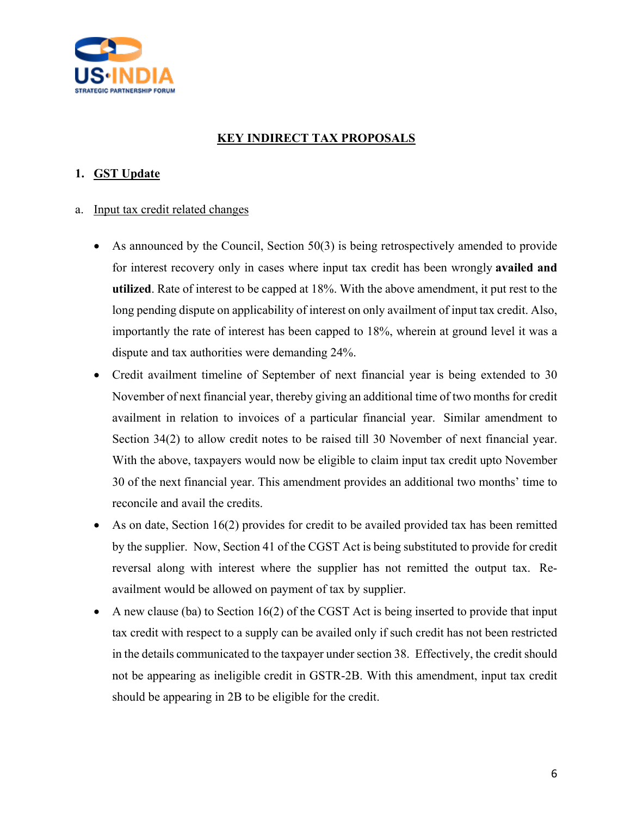

# **KEY INDIRECT TAX PROPOSALS**

#### **1. GST Update**

- a. Input tax credit related changes
	- As announced by the Council, Section 50(3) is being retrospectively amended to provide for interest recovery only in cases where input tax credit has been wrongly **availed and utilized**. Rate of interest to be capped at 18%. With the above amendment, it put rest to the long pending dispute on applicability of interest on only availment of input tax credit. Also, importantly the rate of interest has been capped to 18%, wherein at ground level it was a dispute and tax authorities were demanding 24%.
	- Credit availment timeline of September of next financial year is being extended to 30 November of next financial year, thereby giving an additional time of two months for credit availment in relation to invoices of a particular financial year. Similar amendment to Section 34(2) to allow credit notes to be raised till 30 November of next financial year. With the above, taxpayers would now be eligible to claim input tax credit upto November 30 of the next financial year. This amendment provides an additional two months' time to reconcile and avail the credits.
	- As on date, Section 16(2) provides for credit to be availed provided tax has been remitted by the supplier. Now, Section 41 of the CGST Act is being substituted to provide for credit reversal along with interest where the supplier has not remitted the output tax. Reavailment would be allowed on payment of tax by supplier.
	- A new clause (ba) to Section 16(2) of the CGST Act is being inserted to provide that input tax credit with respect to a supply can be availed only if such credit has not been restricted in the details communicated to the taxpayer under section 38. Effectively, the credit should not be appearing as ineligible credit in GSTR-2B. With this amendment, input tax credit should be appearing in 2B to be eligible for the credit.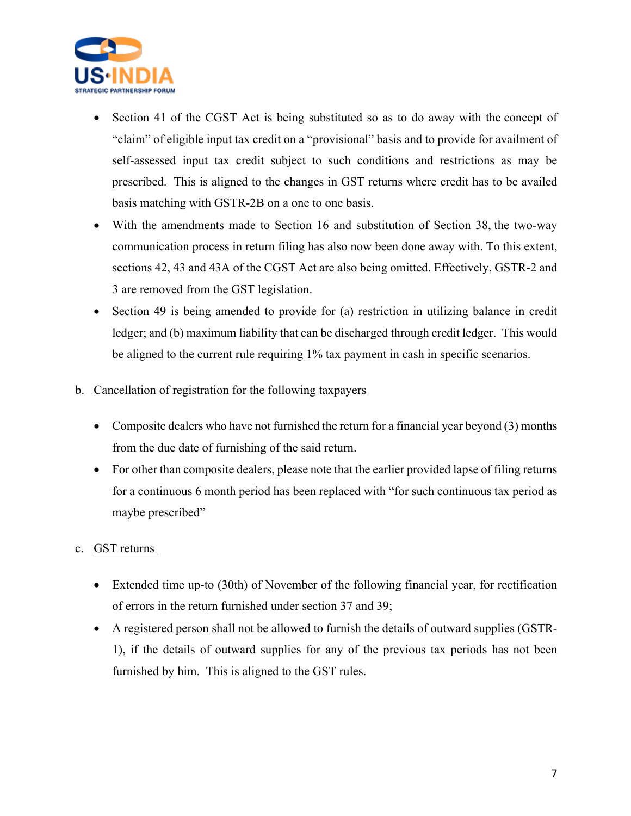

- Section 41 of the CGST Act is being substituted so as to do away with the concept of "claim" of eligible input tax credit on a "provisional" basis and to provide for availment of self-assessed input tax credit subject to such conditions and restrictions as may be prescribed. This is aligned to the changes in GST returns where credit has to be availed basis matching with GSTR-2B on a one to one basis.
- With the amendments made to Section 16 and substitution of Section 38, the two-way communication process in return filing has also now been done away with. To this extent, sections 42, 43 and 43A of the CGST Act are also being omitted. Effectively, GSTR-2 and 3 are removed from the GST legislation.
- Section 49 is being amended to provide for (a) restriction in utilizing balance in credit ledger; and (b) maximum liability that can be discharged through credit ledger. This would be aligned to the current rule requiring 1% tax payment in cash in specific scenarios.
- b. Cancellation of registration for the following taxpayers
	- Composite dealers who have not furnished the return for a financial year beyond (3) months from the due date of furnishing of the said return.
	- For other than composite dealers, please note that the earlier provided lapse of filing returns for a continuous 6 month period has been replaced with "for such continuous tax period as maybe prescribed"

#### c. GST returns

- Extended time up-to (30th) of November of the following financial year, for rectification of errors in the return furnished under section 37 and 39;
- A registered person shall not be allowed to furnish the details of outward supplies (GSTR-1), if the details of outward supplies for any of the previous tax periods has not been furnished by him. This is aligned to the GST rules.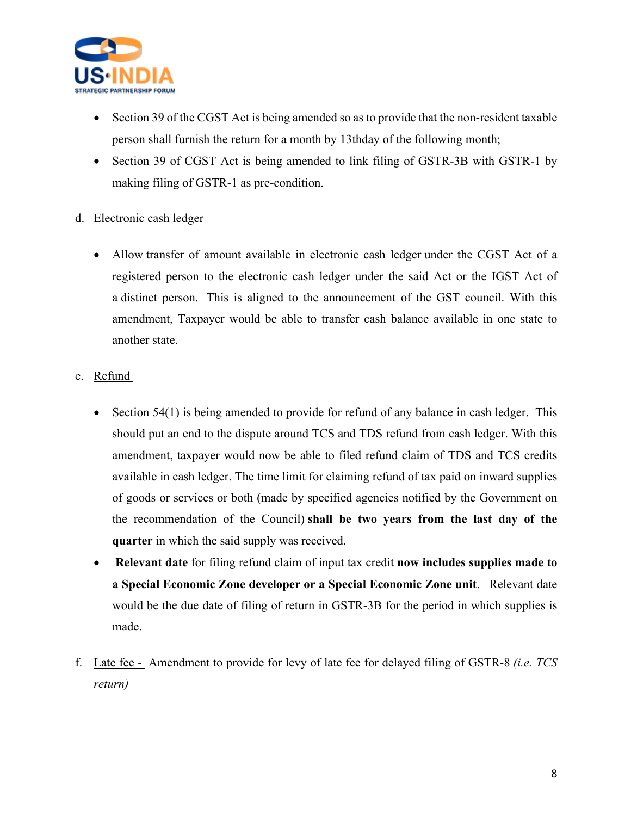

- Section 39 of the CGST Act is being amended so as to provide that the non-resident taxable person shall furnish the return for a month by 13thday of the following month;
- Section 39 of CGST Act is being amended to link filing of GSTR-3B with GSTR-1 by making filing of GSTR-1 as pre-condition.

#### d. Electronic cash ledger

- Allow transfer of amount available in electronic cash ledger under the CGST Act of a registered person to the electronic cash ledger under the said Act or the IGST Act of a distinct person. This is aligned to the announcement of the GST council. With this amendment, Taxpayer would be able to transfer cash balance available in one state to another state.
- e. Refund
	- Section 54(1) is being amended to provide for refund of any balance in cash ledger. This should put an end to the dispute around TCS and TDS refund from cash ledger. With this amendment, taxpayer would now be able to filed refund claim of TDS and TCS credits available in cash ledger. The time limit for claiming refund of tax paid on inward supplies of goods or services or both (made by specified agencies notified by the Government on the recommendation of the Council) **shall be two years from the last day of the quarter** in which the said supply was received.
	- **Relevant date** for filing refund claim of input tax credit **now includes supplies made to a Special Economic Zone developer or a Special Economic Zone unit**. Relevant date would be the due date of filing of return in GSTR-3B for the period in which supplies is made.
- f. Late fee Amendment to provide for levy of late fee for delayed filing of GSTR-8 *(i.e. TCS return)*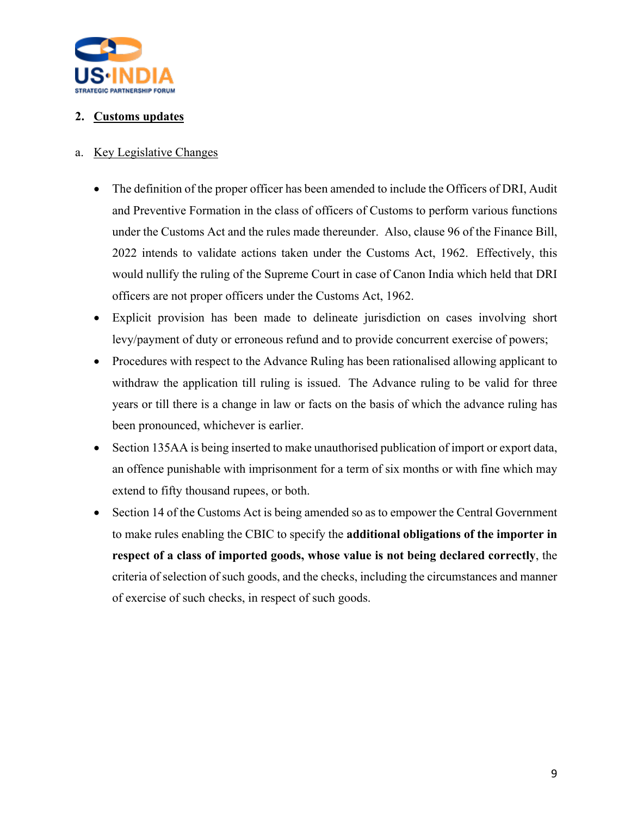

# **2. Customs updates**

#### a. Key Legislative Changes

- The definition of the proper officer has been amended to include the Officers of DRI, Audit and Preventive Formation in the class of officers of Customs to perform various functions under the Customs Act and the rules made thereunder. Also, clause 96 of the Finance Bill, 2022 intends to validate actions taken under the Customs Act, 1962. Effectively, this would nullify the ruling of the Supreme Court in case of Canon India which held that DRI officers are not proper officers under the Customs Act, 1962.
- Explicit provision has been made to delineate jurisdiction on cases involving short levy/payment of duty or erroneous refund and to provide concurrent exercise of powers;
- Procedures with respect to the Advance Ruling has been rationalised allowing applicant to withdraw the application till ruling is issued. The Advance ruling to be valid for three years or till there is a change in law or facts on the basis of which the advance ruling has been pronounced, whichever is earlier.
- Section 135AA is being inserted to make unauthorised publication of import or export data, an offence punishable with imprisonment for a term of six months or with fine which may extend to fifty thousand rupees, or both.
- Section 14 of the Customs Act is being amended so as to empower the Central Government to make rules enabling the CBIC to specify the **additional obligations of the importer in respect of a class of imported goods, whose value is not being declared correctly**, the criteria of selection of such goods, and the checks, including the circumstances and manner of exercise of such checks, in respect of such goods.